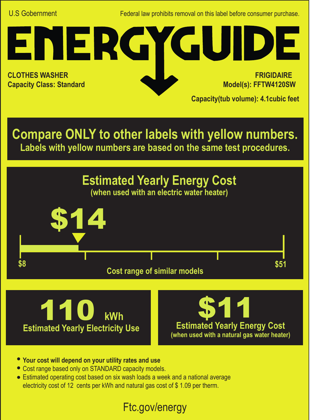U.S Gobernment Federal law prohibits removal on this label before consumer purchase.

**CLOTHES WASHER Capacity Class: Standard**

 **FRIGIDAIRE Model(s): FFTW4120SW**

**Capacity(tub volume): 4.1cubic feet**

**Compare ONLY to other labels with yellow numbers. Labels with yellow numbers are based on the same test procedures.**

ENERGYGUIDE







- **Your cost will depend on your utility rates and use**
- Cost range based only on STANDARD capacity models.
- Estimated operating cost based on six wash loads a week and a national average electricity cost of 12 cents per kWh and natural gas cost of \$ 1.09 per therm.

## Ftc.gov/energy